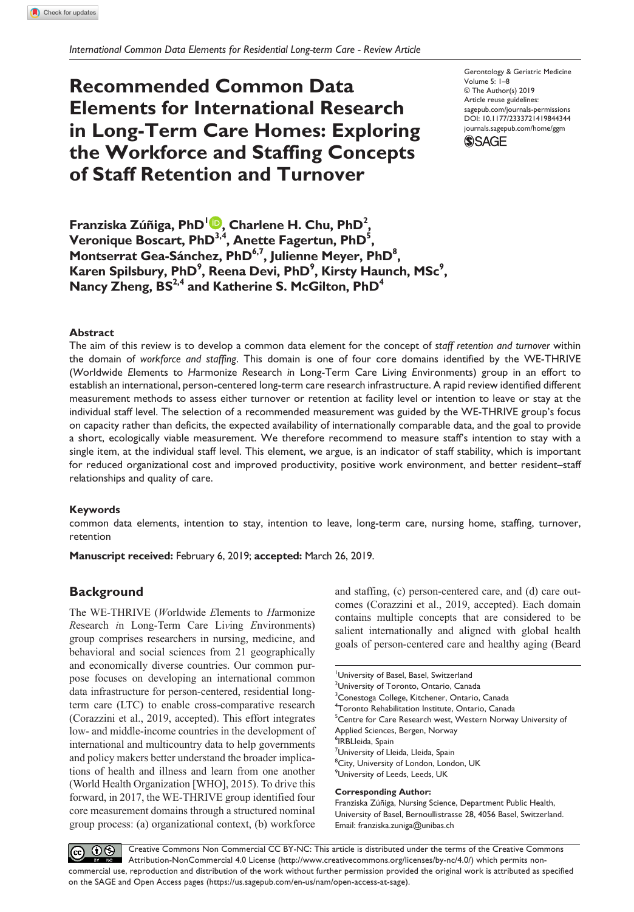# **Recommended Common Data Elements for International Research in Long-Term Care Homes: Exploring the Workforce and Staffing Concepts of Staff Retention and Turnover**

https://doi.org/10.1177/2333721419844344 DOI: 10.1177/2333721419844344 Gerontology & Geriatric Medicine Volume 5: 1–8 © The Author(s) 2019 Article reuse guidelines: [sagepub.com/journals-permissions](https://us.sagepub.com/en-us/journals-permissions) [journals.sagepub.com/home/ggm](https://journals.sagepub.com/home/ggm)



**Franziska Zúñiga, PhD1 , Charlene H. Chu, PhD2 , Veronique Boscart, PhD<sup>3,4</sup>, Anette Fagertun, PhD<sup>5</sup>,** Montserrat Gea-Sánchez, PhD<sup>6,7</sup>, Julienne Meyer, PhD<sup>8</sup>, Karen Spilsbury, PhD<sup>9</sup>, Reena Devi, PhD<sup>9</sup>, Kirsty Haunch, MSc<sup>9</sup>, **Nancy Zheng, BS2,4 and Katherine S. McGilton, PhD4**

## **Abstract**

The aim of this review is to develop a common data element for the concept of *staff retention and turnover* within the domain of *workforce and staffing*. This domain is one of four core domains identified by the WE-THRIVE (*W*orldwide *E*lements to *H*armonize *R*esearch *i*n Long-Term Care Li*v*ing *E*nvironments) group in an effort to establish an international, person-centered long-term care research infrastructure. A rapid review identified different measurement methods to assess either turnover or retention at facility level or intention to leave or stay at the individual staff level. The selection of a recommended measurement was guided by the WE-THRIVE group's focus on capacity rather than deficits, the expected availability of internationally comparable data, and the goal to provide a short, ecologically viable measurement. We therefore recommend to measure staff's intention to stay with a single item, at the individual staff level. This element, we argue, is an indicator of staff stability, which is important for reduced organizational cost and improved productivity, positive work environment, and better resident–staff relationships and quality of care.

## **Keywords**

common data elements, intention to stay, intention to leave, long-term care, nursing home, staffing, turnover, retention

**Manuscript received:** February 6, 2019; **accepted:** March 26, 2019.

# **Background**

The WE-THRIVE (*W*orldwide *E*lements to *H*armonize *R*esearch *i*n Long-Term Care Li*v*ing *E*nvironments) group comprises researchers in nursing, medicine, and behavioral and social sciences from 21 geographically and economically diverse countries. Our common purpose focuses on developing an international common data infrastructure for person-centered, residential longterm care (LTC) to enable cross-comparative research (Corazzini et al., 2019, accepted). This effort integrates low- and middle-income countries in the development of international and multicountry data to help governments and policy makers better understand the broader implications of health and illness and learn from one another (World Health Organization [WHO], 2015). To drive this forward, in 2017, the WE-THRIVE group identified four core measurement domains through a structured nominal group process: (a) organizational context, (b) workforce

and staffing, (c) person-centered care, and (d) care outcomes (Corazzini et al., 2019, accepted). Each domain contains multiple concepts that are considered to be salient internationally and aligned with global health goals of person-centered care and healthy aging (Beard

University of Basel, Basel, Switzerland <sup>2</sup>University of Toronto, Ontario, Canada <sup>3</sup>Conestoga College, Kitchener, Ontario, Canada 4 Toronto Rehabilitation Institute, Ontario, Canada <sup>5</sup>Centre for Care Research west, Western Norway University of Applied Sciences, Bergen, Norway 6 IRBLleida, Spain <sup>7</sup>University of Lleida, Lleida, Spain <sup>8</sup>City, University of London, London, UK 9 University of Leeds, Leeds, UK **Corresponding Author:** Franziska Zúñiga, Nursing Science, Department Public Health, University of Basel, Bernoullistrasse 28, 4056 Basel, Switzerland.

Email: [franziska.zuniga@unibas.ch](mailto:franziska.zuniga@unibas.ch)

 $\boxed{6}$  0  $\textcircled{\scriptsize{8}}$ Creative Commons Non Commercial CC BY-NC: This article is distributed under the terms of the Creative Commons Attribution-NonCommercial 4.0 License (http://www.creativecommons.org/licenses/by-nc/4.0/) which permits noncommercial use, reproduction and distribution of the work without further permission provided the original work is attributed as specified on the SAGE and Open Access pages (https://us.sagepub.com/en-us/nam/open-access-at-sage).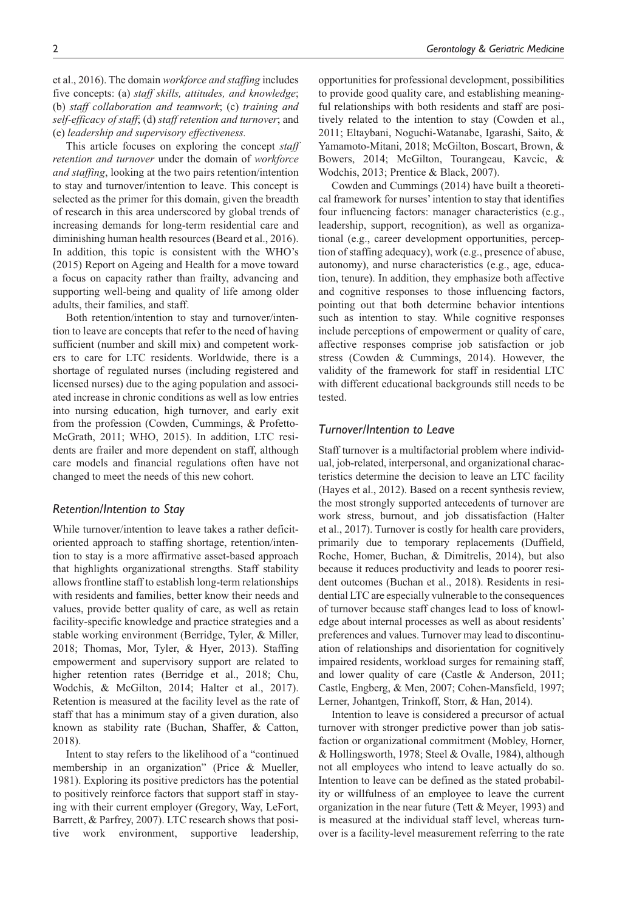et al., 2016). The domain *workforce and staffing* includes five concepts: (a) *staff skills, attitudes, and knowledge*; (b) *staff collaboration and teamwork*; (c) *training and self-efficacy of staff*; (d) *staff retention and turnover*; and (e) *leadership and supervisory effectiveness.*

This article focuses on exploring the concept *staff retention and turnover* under the domain of *workforce and staffing*, looking at the two pairs retention/intention to stay and turnover/intention to leave. This concept is selected as the primer for this domain, given the breadth of research in this area underscored by global trends of increasing demands for long-term residential care and diminishing human health resources (Beard et al., 2016). In addition, this topic is consistent with the WHO's (2015) Report on Ageing and Health for a move toward a focus on capacity rather than frailty, advancing and supporting well-being and quality of life among older adults, their families, and staff.

Both retention/intention to stay and turnover/intention to leave are concepts that refer to the need of having sufficient (number and skill mix) and competent workers to care for LTC residents. Worldwide, there is a shortage of regulated nurses (including registered and licensed nurses) due to the aging population and associated increase in chronic conditions as well as low entries into nursing education, high turnover, and early exit from the profession (Cowden, Cummings, & Profetto-McGrath, 2011; WHO, 2015). In addition, LTC residents are frailer and more dependent on staff, although care models and financial regulations often have not changed to meet the needs of this new cohort.

## *Retention/Intention to Stay*

While turnover/intention to leave takes a rather deficitoriented approach to staffing shortage, retention/intention to stay is a more affirmative asset-based approach that highlights organizational strengths. Staff stability allows frontline staff to establish long-term relationships with residents and families, better know their needs and values, provide better quality of care, as well as retain facility-specific knowledge and practice strategies and a stable working environment (Berridge, Tyler, & Miller, 2018; Thomas, Mor, Tyler, & Hyer, 2013). Staffing empowerment and supervisory support are related to higher retention rates (Berridge et al., 2018; Chu, Wodchis, & McGilton, 2014; Halter et al., 2017). Retention is measured at the facility level as the rate of staff that has a minimum stay of a given duration, also known as stability rate (Buchan, Shaffer, & Catton, 2018).

Intent to stay refers to the likelihood of a "continued membership in an organization" (Price & Mueller, 1981). Exploring its positive predictors has the potential to positively reinforce factors that support staff in staying with their current employer (Gregory, Way, LeFort, Barrett, & Parfrey, 2007). LTC research shows that positive work environment, supportive leadership,

opportunities for professional development, possibilities to provide good quality care, and establishing meaningful relationships with both residents and staff are positively related to the intention to stay (Cowden et al., 2011; Eltaybani, Noguchi-Watanabe, Igarashi, Saito, & Yamamoto-Mitani, 2018; McGilton, Boscart, Brown, & Bowers, 2014; McGilton, Tourangeau, Kavcic, & Wodchis, 2013; Prentice & Black, 2007).

Cowden and Cummings (2014) have built a theoretical framework for nurses' intention to stay that identifies four influencing factors: manager characteristics (e.g., leadership, support, recognition), as well as organizational (e.g., career development opportunities, perception of staffing adequacy), work (e.g., presence of abuse, autonomy), and nurse characteristics (e.g., age, education, tenure). In addition, they emphasize both affective and cognitive responses to those influencing factors, pointing out that both determine behavior intentions such as intention to stay. While cognitive responses include perceptions of empowerment or quality of care, affective responses comprise job satisfaction or job stress (Cowden & Cummings, 2014). However, the validity of the framework for staff in residential LTC with different educational backgrounds still needs to be tested.

## *Turnover/Intention to Leave*

Staff turnover is a multifactorial problem where individual, job-related, interpersonal, and organizational characteristics determine the decision to leave an LTC facility (Hayes et al., 2012). Based on a recent synthesis review, the most strongly supported antecedents of turnover are work stress, burnout, and job dissatisfaction (Halter et al., 2017). Turnover is costly for health care providers, primarily due to temporary replacements (Duffield, Roche, Homer, Buchan, & Dimitrelis, 2014), but also because it reduces productivity and leads to poorer resident outcomes (Buchan et al., 2018). Residents in residential LTC are especially vulnerable to the consequences of turnover because staff changes lead to loss of knowledge about internal processes as well as about residents' preferences and values. Turnover may lead to discontinuation of relationships and disorientation for cognitively impaired residents, workload surges for remaining staff, and lower quality of care (Castle & Anderson, 2011; Castle, Engberg, & Men, 2007; Cohen-Mansfield, 1997; Lerner, Johantgen, Trinkoff, Storr, & Han, 2014).

Intention to leave is considered a precursor of actual turnover with stronger predictive power than job satisfaction or organizational commitment (Mobley, Horner, & Hollingsworth, 1978; Steel & Ovalle, 1984), although not all employees who intend to leave actually do so. Intention to leave can be defined as the stated probability or willfulness of an employee to leave the current organization in the near future (Tett & Meyer, 1993) and is measured at the individual staff level, whereas turnover is a facility-level measurement referring to the rate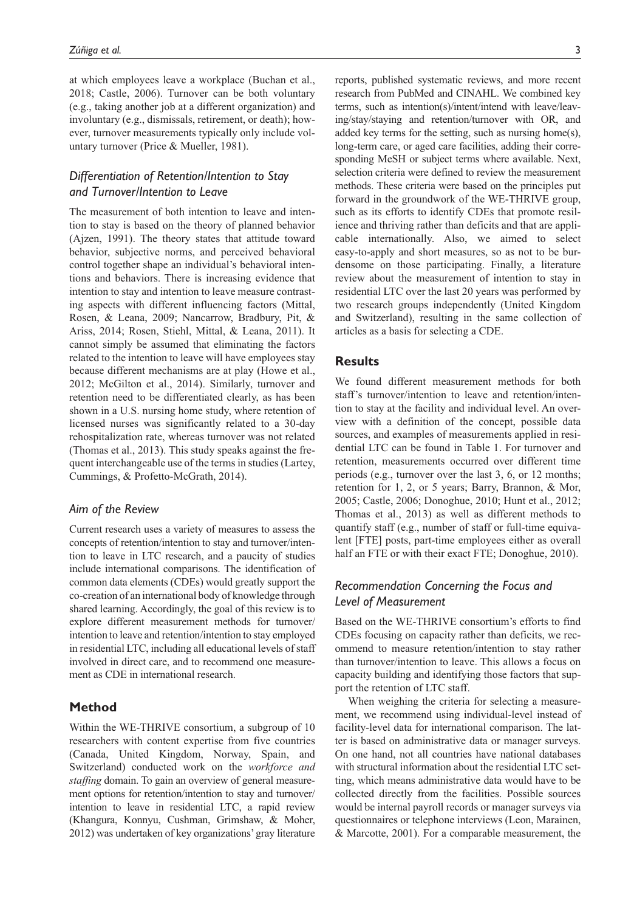at which employees leave a workplace (Buchan et al., 2018; Castle, 2006). Turnover can be both voluntary (e.g., taking another job at a different organization) and involuntary (e.g., dismissals, retirement, or death); however, turnover measurements typically only include voluntary turnover (Price & Mueller, 1981).

# *Differentiation of Retention/Intention to Stay and Turnover/Intention to Leave*

The measurement of both intention to leave and intention to stay is based on the theory of planned behavior (Ajzen, 1991). The theory states that attitude toward behavior, subjective norms, and perceived behavioral control together shape an individual's behavioral intentions and behaviors. There is increasing evidence that intention to stay and intention to leave measure contrasting aspects with different influencing factors (Mittal, Rosen, & Leana, 2009; Nancarrow, Bradbury, Pit, & Ariss, 2014; Rosen, Stiehl, Mittal, & Leana, 2011). It cannot simply be assumed that eliminating the factors related to the intention to leave will have employees stay because different mechanisms are at play (Howe et al., 2012; McGilton et al., 2014). Similarly, turnover and retention need to be differentiated clearly, as has been shown in a U.S. nursing home study, where retention of licensed nurses was significantly related to a 30-day rehospitalization rate, whereas turnover was not related (Thomas et al., 2013). This study speaks against the frequent interchangeable use of the terms in studies (Lartey, Cummings, & Profetto-McGrath, 2014).

## *Aim of the Review*

Current research uses a variety of measures to assess the concepts of retention/intention to stay and turnover/intention to leave in LTC research, and a paucity of studies include international comparisons. The identification of common data elements (CDEs) would greatly support the co-creation of an international body of knowledge through shared learning. Accordingly, the goal of this review is to explore different measurement methods for turnover/ intention to leave and retention/intention to stay employed in residential LTC, including all educational levels of staff involved in direct care, and to recommend one measurement as CDE in international research.

# **Method**

Within the WE-THRIVE consortium, a subgroup of 10 researchers with content expertise from five countries (Canada, United Kingdom, Norway, Spain, and Switzerland) conducted work on the *workforce and staffing* domain. To gain an overview of general measurement options for retention/intention to stay and turnover/ intention to leave in residential LTC, a rapid review (Khangura, Konnyu, Cushman, Grimshaw, & Moher, 2012) was undertaken of key organizations' gray literature

reports, published systematic reviews, and more recent research from PubMed and CINAHL. We combined key terms, such as intention(s)/intent/intend with leave/leaving/stay/staying and retention/turnover with OR, and added key terms for the setting, such as nursing home(s), long-term care, or aged care facilities, adding their corresponding MeSH or subject terms where available. Next, selection criteria were defined to review the measurement methods. These criteria were based on the principles put forward in the groundwork of the WE-THRIVE group, such as its efforts to identify CDEs that promote resilience and thriving rather than deficits and that are applicable internationally. Also, we aimed to select easy-to-apply and short measures, so as not to be burdensome on those participating. Finally, a literature review about the measurement of intention to stay in residential LTC over the last 20 years was performed by two research groups independently (United Kingdom and Switzerland), resulting in the same collection of articles as a basis for selecting a CDE.

# **Results**

We found different measurement methods for both staff's turnover/intention to leave and retention/intention to stay at the facility and individual level. An overview with a definition of the concept, possible data sources, and examples of measurements applied in residential LTC can be found in Table 1. For turnover and retention, measurements occurred over different time periods (e.g., turnover over the last 3, 6, or 12 months; retention for 1, 2, or 5 years; Barry, Brannon, & Mor, 2005; Castle, 2006; Donoghue, 2010; Hunt et al., 2012; Thomas et al., 2013) as well as different methods to quantify staff (e.g., number of staff or full-time equivalent [FTE] posts, part-time employees either as overall half an FTE or with their exact FTE; Donoghue, 2010).

# *Recommendation Concerning the Focus and Level of Measurement*

Based on the WE-THRIVE consortium's efforts to find CDEs focusing on capacity rather than deficits, we recommend to measure retention/intention to stay rather than turnover/intention to leave. This allows a focus on capacity building and identifying those factors that support the retention of LTC staff.

When weighing the criteria for selecting a measurement, we recommend using individual-level instead of facility-level data for international comparison. The latter is based on administrative data or manager surveys. On one hand, not all countries have national databases with structural information about the residential LTC setting, which means administrative data would have to be collected directly from the facilities. Possible sources would be internal payroll records or manager surveys via questionnaires or telephone interviews (Leon, Marainen, & Marcotte, 2001). For a comparable measurement, the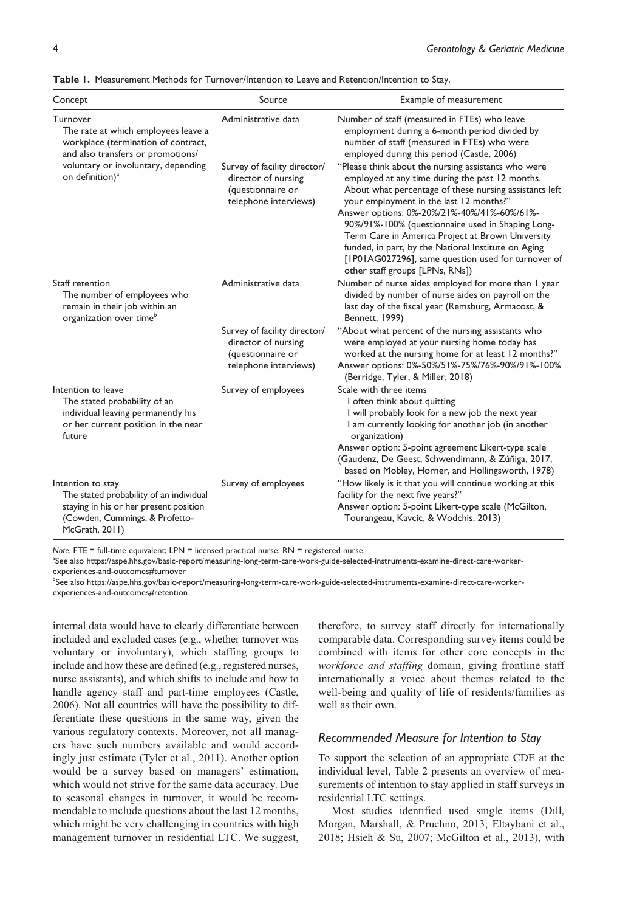| Concept                                                                                                                                                    | Source                                                                                            | Example of measurement                                                                                                                                                                                                                                                                                                                                                                                                                                                                                              |
|------------------------------------------------------------------------------------------------------------------------------------------------------------|---------------------------------------------------------------------------------------------------|---------------------------------------------------------------------------------------------------------------------------------------------------------------------------------------------------------------------------------------------------------------------------------------------------------------------------------------------------------------------------------------------------------------------------------------------------------------------------------------------------------------------|
| Turnover<br>The rate at which employees leave a<br>workplace (termination of contract,<br>and also transfers or promotions/                                | Administrative data                                                                               | Number of staff (measured in FTEs) who leave<br>employment during a 6-month period divided by<br>number of staff (measured in FTEs) who were<br>employed during this period (Castle, 2006)                                                                                                                                                                                                                                                                                                                          |
| voluntary or involuntary, depending<br>on definition) <sup>a</sup>                                                                                         | Survey of facility director/<br>director of nursing<br>(questionnaire or<br>telephone interviews) | "Please think about the nursing assistants who were<br>employed at any time during the past 12 months.<br>About what percentage of these nursing assistants left<br>your employment in the last 12 months?"<br>Answer options: 0%-20%/21%-40%/41%-60%/61%-<br>90%/91%-100% (questionnaire used in Shaping Long-<br>Term Care in America Project at Brown University<br>funded, in part, by the National Institute on Aging<br>[IP01AG027296], same question used for turnover of<br>other staff groups [LPNs, RNs]) |
| Staff retention<br>The number of employees who<br>remain in their job within an<br>organization over time <sup>o</sup>                                     | Administrative data                                                                               | Number of nurse aides employed for more than I year<br>divided by number of nurse aides on payroll on the<br>last day of the fiscal year (Remsburg, Armacost, &<br>Bennett, 1999)                                                                                                                                                                                                                                                                                                                                   |
|                                                                                                                                                            | Survey of facility director/<br>director of nursing<br>(questionnaire or<br>telephone interviews) | "About what percent of the nursing assistants who<br>were employed at your nursing home today has<br>worked at the nursing home for at least 12 months?"<br>Answer options: 0%-50%/51%-75%/76%-90%/91%-100%<br>(Berridge, Tyler, & Miller, 2018)                                                                                                                                                                                                                                                                    |
| Intention to leave<br>The stated probability of an<br>individual leaving permanently his<br>or her current position in the near<br>future                  | Survey of employees                                                                               | Scale with three items<br>I often think about quitting<br>I will probably look for a new job the next year<br>I am currently looking for another job (in another<br>organization)<br>Answer option: 5-point agreement Likert-type scale<br>(Gaudenz, De Geest, Schwendimann, & Zúñiga, 2017,<br>based on Mobley, Horner, and Hollingsworth, 1978)                                                                                                                                                                   |
| Intention to stay<br>The stated probability of an individual<br>staying in his or her present position<br>(Cowden, Cummings, & Profetto-<br>McGrath, 2011) | Survey of employees                                                                               | "How likely is it that you will continue working at this<br>facility for the next five years?"<br>Answer option: 5-point Likert-type scale (McGilton,<br>Tourangeau, Kavcic, & Wodchis, 2013)                                                                                                                                                                                                                                                                                                                       |

**Table 1.** Measurement Methods for Turnover/Intention to Leave and Retention/Intention to Stay.

*Note.* FTE = full-time equivalent; LPN = licensed practical nurse; RN = registered nurse.

a See also [https://aspe.hhs.gov/basic-report/measuring-long-term-care-work-guide-selected-instruments-examine-direct-care-worker](https://aspe.hhs.gov/basic-report/measuring-long-term-care-work-guide-selected-instruments-examine-direct-care-worker-experiences-and-outcomes#turnover)[experiences-and-outcomes#turnover](https://aspe.hhs.gov/basic-report/measuring-long-term-care-work-guide-selected-instruments-examine-direct-care-worker-experiences-and-outcomes#turnover)

<sup>b</sup>See also [https://aspe.hhs.gov/basic-report/measuring-long-term-care-work-guide-selected-instruments-examine-direct-care-worker](https://aspe.hhs.gov/basic-report/measuring-long-term-care-work-guide-selected-instruments-examine-direct-care-worker-experiences-and-outcomes#retention)[experiences-and-outcomes#retention](https://aspe.hhs.gov/basic-report/measuring-long-term-care-work-guide-selected-instruments-examine-direct-care-worker-experiences-and-outcomes#retention)

internal data would have to clearly differentiate between included and excluded cases (e.g., whether turnover was voluntary or involuntary), which staffing groups to include and how these are defined (e.g., registered nurses, nurse assistants), and which shifts to include and how to handle agency staff and part-time employees (Castle, 2006). Not all countries will have the possibility to differentiate these questions in the same way, given the various regulatory contexts. Moreover, not all managers have such numbers available and would accordingly just estimate (Tyler et al., 2011). Another option would be a survey based on managers' estimation, which would not strive for the same data accuracy. Due to seasonal changes in turnover, it would be recommendable to include questions about the last 12 months, which might be very challenging in countries with high management turnover in residential LTC. We suggest, therefore, to survey staff directly for internationally comparable data. Corresponding survey items could be combined with items for other core concepts in the *workforce and staffing* domain, giving frontline staff internationally a voice about themes related to the well-being and quality of life of residents/families as well as their own.

# *Recommended Measure for Intention to Stay*

To support the selection of an appropriate CDE at the individual level, Table 2 presents an overview of measurements of intention to stay applied in staff surveys in residential LTC settings.

Most studies identified used single items (Dill, Morgan, Marshall, & Pruchno, 2013; Eltaybani et al., 2018; Hsieh & Su, 2007; McGilton et al., 2013), with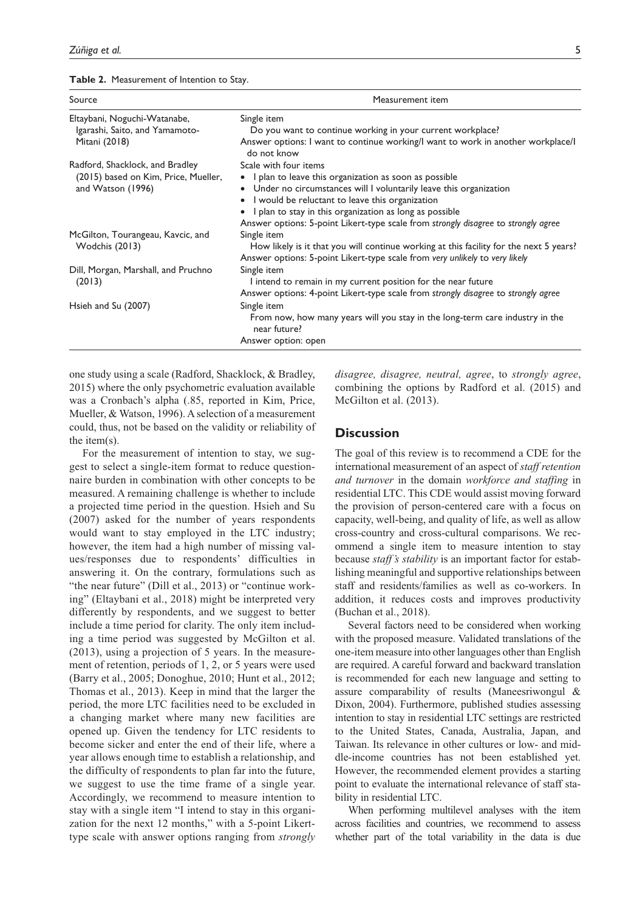**Table 2.** Measurement of Intention to Stay.

| Source                                                                                       | Measurement item<br>Single item<br>Do you want to continue working in your current workplace?<br>Answer options: I want to continue working/I want to work in another workplace/I<br>do not know<br>Scale with four items<br>• I plan to leave this organization as soon as possible<br>• Under no circumstances will I voluntarily leave this organization<br>I would be reluctant to leave this organization<br>$\bullet$<br>I plan to stay in this organization as long as possible<br>Answer options: 5-point Likert-type scale from strongly disagree to strongly agree |  |
|----------------------------------------------------------------------------------------------|------------------------------------------------------------------------------------------------------------------------------------------------------------------------------------------------------------------------------------------------------------------------------------------------------------------------------------------------------------------------------------------------------------------------------------------------------------------------------------------------------------------------------------------------------------------------------|--|
| Eltaybani, Noguchi-Watanabe,<br>Igarashi, Saito, and Yamamoto-<br>Mitani (2018)              |                                                                                                                                                                                                                                                                                                                                                                                                                                                                                                                                                                              |  |
| Radford, Shacklock, and Bradley<br>(2015) based on Kim, Price, Mueller,<br>and Watson (1996) |                                                                                                                                                                                                                                                                                                                                                                                                                                                                                                                                                                              |  |
| McGilton, Tourangeau, Kavcic, and<br>Wodchis (2013)                                          | Single item<br>How likely is it that you will continue working at this facility for the next 5 years?<br>Answer options: 5-point Likert-type scale from very unlikely to very likely                                                                                                                                                                                                                                                                                                                                                                                         |  |
| Dill, Morgan, Marshall, and Pruchno<br>(2013)                                                | Single item<br>I intend to remain in my current position for the near future<br>Answer options: 4-point Likert-type scale from strongly disagree to strongly agree                                                                                                                                                                                                                                                                                                                                                                                                           |  |
| Hsieh and Su (2007)                                                                          | Single item<br>From now, how many years will you stay in the long-term care industry in the<br>near future?                                                                                                                                                                                                                                                                                                                                                                                                                                                                  |  |
|                                                                                              | Answer option: open                                                                                                                                                                                                                                                                                                                                                                                                                                                                                                                                                          |  |

one study using a scale (Radford, Shacklock, & Bradley, 2015) where the only psychometric evaluation available was a Cronbach's alpha (.85, reported in Kim, Price, Mueller, & Watson, 1996). A selection of a measurement could, thus, not be based on the validity or reliability of the item(s).

For the measurement of intention to stay, we suggest to select a single-item format to reduce questionnaire burden in combination with other concepts to be measured. A remaining challenge is whether to include a projected time period in the question. Hsieh and Su (2007) asked for the number of years respondents would want to stay employed in the LTC industry; however, the item had a high number of missing values/responses due to respondents' difficulties in answering it. On the contrary, formulations such as "the near future" (Dill et al., 2013) or "continue working" (Eltaybani et al., 2018) might be interpreted very differently by respondents, and we suggest to better include a time period for clarity. The only item including a time period was suggested by McGilton et al. (2013), using a projection of 5 years. In the measurement of retention, periods of 1, 2, or 5 years were used (Barry et al., 2005; Donoghue, 2010; Hunt et al., 2012; Thomas et al., 2013). Keep in mind that the larger the period, the more LTC facilities need to be excluded in a changing market where many new facilities are opened up. Given the tendency for LTC residents to become sicker and enter the end of their life, where a year allows enough time to establish a relationship, and the difficulty of respondents to plan far into the future, we suggest to use the time frame of a single year. Accordingly, we recommend to measure intention to stay with a single item "I intend to stay in this organization for the next 12 months," with a 5-point Likerttype scale with answer options ranging from *strongly*  *disagree, disagree, neutral, agree*, to *strongly agree*, combining the options by Radford et al. (2015) and McGilton et al. (2013).

# **Discussion**

The goal of this review is to recommend a CDE for the international measurement of an aspect of *staff retention and turnover* in the domain *workforce and staffing* in residential LTC. This CDE would assist moving forward the provision of person-centered care with a focus on capacity, well-being, and quality of life, as well as allow cross-country and cross-cultural comparisons. We recommend a single item to measure intention to stay because *staff's stability* is an important factor for establishing meaningful and supportive relationships between staff and residents/families as well as co-workers. In addition, it reduces costs and improves productivity (Buchan et al., 2018).

Several factors need to be considered when working with the proposed measure. Validated translations of the one-item measure into other languages other than English are required. A careful forward and backward translation is recommended for each new language and setting to assure comparability of results (Maneesriwongul & Dixon, 2004). Furthermore, published studies assessing intention to stay in residential LTC settings are restricted to the United States, Canada, Australia, Japan, and Taiwan. Its relevance in other cultures or low- and middle-income countries has not been established yet. However, the recommended element provides a starting point to evaluate the international relevance of staff stability in residential LTC.

When performing multilevel analyses with the item across facilities and countries, we recommend to assess whether part of the total variability in the data is due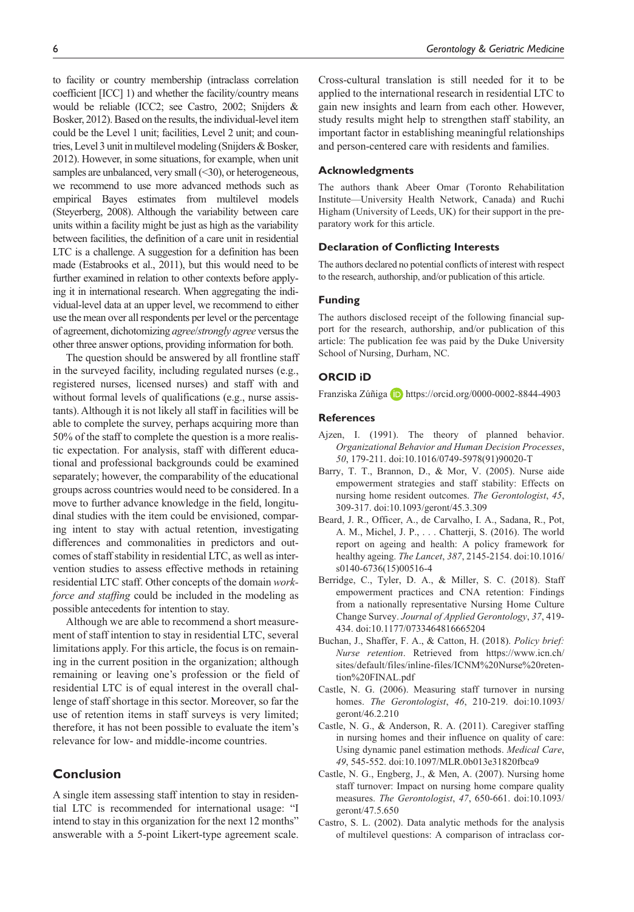to facility or country membership (intraclass correlation coefficient [ICC] 1) and whether the facility/country means would be reliable (ICC2; see Castro, 2002; Snijders & Bosker, 2012). Based on the results, the individual-level item could be the Level 1 unit; facilities, Level 2 unit; and countries, Level 3 unit in multilevel modeling (Snijders & Bosker, 2012). However, in some situations, for example, when unit samples are unbalanced, very small (<30), or heterogeneous, we recommend to use more advanced methods such as empirical Bayes estimates from multilevel models (Steyerberg, 2008). Although the variability between care units within a facility might be just as high as the variability between facilities, the definition of a care unit in residential LTC is a challenge. A suggestion for a definition has been made (Estabrooks et al., 2011), but this would need to be further examined in relation to other contexts before applying it in international research. When aggregating the individual-level data at an upper level, we recommend to either use the mean over all respondents per level or the percentage of agreement, dichotomizing *agree*/*strongly agree* versus the other three answer options, providing information for both.

The question should be answered by all frontline staff in the surveyed facility, including regulated nurses (e.g., registered nurses, licensed nurses) and staff with and without formal levels of qualifications (e.g., nurse assistants). Although it is not likely all staff in facilities will be able to complete the survey, perhaps acquiring more than 50% of the staff to complete the question is a more realistic expectation. For analysis, staff with different educational and professional backgrounds could be examined separately; however, the comparability of the educational groups across countries would need to be considered. In a move to further advance knowledge in the field, longitudinal studies with the item could be envisioned, comparing intent to stay with actual retention, investigating differences and commonalities in predictors and outcomes of staff stability in residential LTC, as well as intervention studies to assess effective methods in retaining residential LTC staff. Other concepts of the domain *workforce and staffing* could be included in the modeling as possible antecedents for intention to stay.

Although we are able to recommend a short measurement of staff intention to stay in residential LTC, several limitations apply. For this article, the focus is on remaining in the current position in the organization; although remaining or leaving one's profession or the field of residential LTC is of equal interest in the overall challenge of staff shortage in this sector. Moreover, so far the use of retention items in staff surveys is very limited; therefore, it has not been possible to evaluate the item's relevance for low- and middle-income countries.

# **Conclusion**

A single item assessing staff intention to stay in residential LTC is recommended for international usage: "I intend to stay in this organization for the next 12 months" answerable with a 5-point Likert-type agreement scale. Cross-cultural translation is still needed for it to be applied to the international research in residential LTC to gain new insights and learn from each other. However, study results might help to strengthen staff stability, an important factor in establishing meaningful relationships and person-centered care with residents and families.

#### **Acknowledgments**

The authors thank Abeer Omar (Toronto Rehabilitation Institute—University Health Network, Canada) and Ruchi Higham (University of Leeds, UK) for their support in the preparatory work for this article.

#### **Declaration of Conflicting Interests**

The authors declared no potential conflicts of interest with respect to the research, authorship, and/or publication of this article.

## **Funding**

The authors disclosed receipt of the following financial support for the research, authorship, and/or publication of this article: The publication fee was paid by the Duke University School of Nursing, Durham, NC.

## **ORCID iD**

Franziska Zúñiga D <https://orcid.org/0000-0002-8844-4903>

## **References**

- Ajzen, I. (1991). The theory of planned behavior. *Organizational Behavior and Human Decision Processes*, *50*, 179-211. doi:10.1016/0749-5978(91)90020-T
- Barry, T. T., Brannon, D., & Mor, V. (2005). Nurse aide empowerment strategies and staff stability: Effects on nursing home resident outcomes. *The Gerontologist*, *45*, 309-317. doi:10.1093/geront/45.3.309
- Beard, J. R., Officer, A., de Carvalho, I. A., Sadana, R., Pot, A. M., Michel, J. P., . . . Chatterji, S. (2016). The world report on ageing and health: A policy framework for healthy ageing. *The Lancet*, *387*, 2145-2154. doi:10.1016/ s0140-6736(15)00516-4
- Berridge, C., Tyler, D. A., & Miller, S. C. (2018). Staff empowerment practices and CNA retention: Findings from a nationally representative Nursing Home Culture Change Survey. *Journal of Applied Gerontology*, *37*, 419- 434. doi:10.1177/0733464816665204
- Buchan, J., Shaffer, F. A., & Catton, H. (2018). *Policy brief: Nurse retention*. Retrieved from [https://www.icn.ch/](https://www.icn.ch/sites/default/files/inline-files/ICNM%20Nurse%20retention%20FINAL.pdf) [sites/default/files/inline-files/ICNM%20Nurse%20reten](https://www.icn.ch/sites/default/files/inline-files/ICNM%20Nurse%20retention%20FINAL.pdf)[tion%20FINAL.pdf](https://www.icn.ch/sites/default/files/inline-files/ICNM%20Nurse%20retention%20FINAL.pdf)
- Castle, N. G. (2006). Measuring staff turnover in nursing homes. *The Gerontologist*, *46*, 210-219. doi:10.1093/ geront/46.2.210
- Castle, N. G., & Anderson, R. A. (2011). Caregiver staffing in nursing homes and their influence on quality of care: Using dynamic panel estimation methods. *Medical Care*, *49*, 545-552. doi:10.1097/MLR.0b013e31820fbca9
- Castle, N. G., Engberg, J., & Men, A. (2007). Nursing home staff turnover: Impact on nursing home compare quality measures. *The Gerontologist*, *47*, 650-661. doi:10.1093/ geront/47.5.650
- Castro, S. L. (2002). Data analytic methods for the analysis of multilevel questions: A comparison of intraclass cor-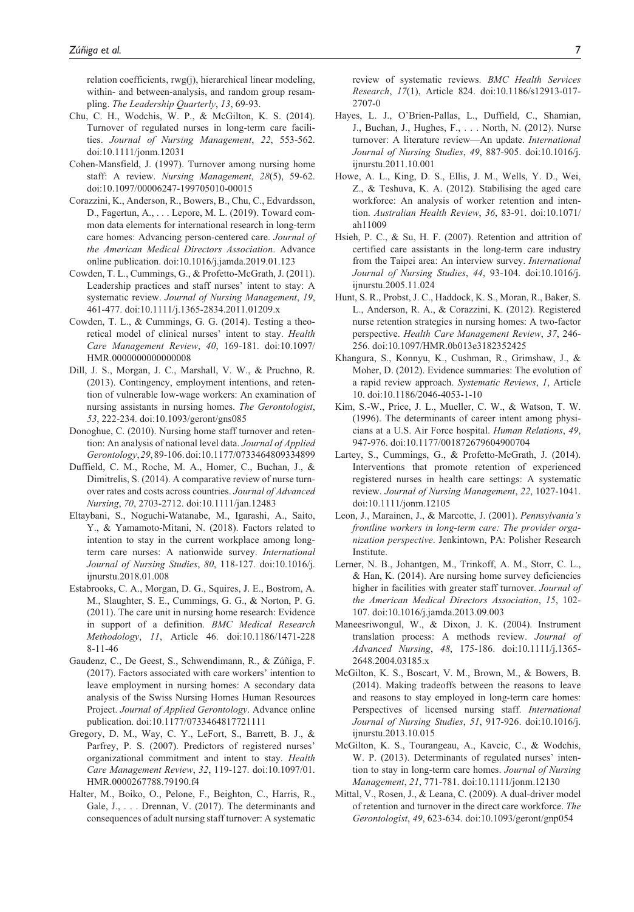relation coefficients, rwg(j), hierarchical linear modeling, within- and between-analysis, and random group resampling. *The Leadership Quarterly*, *13*, 69-93.

- Chu, C. H., Wodchis, W. P., & McGilton, K. S. (2014). Turnover of regulated nurses in long-term care facilities. *Journal of Nursing Management*, *22*, 553-562. doi:10.1111/jonm.12031
- Cohen-Mansfield, J. (1997). Turnover among nursing home staff: A review. *Nursing Management*, *28*(5), 59-62. doi:10.1097/00006247-199705010-00015
- Corazzini, K., Anderson, R., Bowers, B., Chu, C., Edvardsson, D., Fagertun, A., . . . Lepore, M. L. (2019). Toward common data elements for international research in long-term care homes: Advancing person-centered care. *Journal of the American Medical Directors Association*. Advance online publication. doi:10.1016/j.jamda.2019.01.123
- Cowden, T. L., Cummings, G., & Profetto-McGrath, J. (2011). Leadership practices and staff nurses' intent to stay: A systematic review. *Journal of Nursing Management*, *19*, 461-477. doi:10.1111/j.1365-2834.2011.01209.x
- Cowden, T. L., & Cummings, G. G. (2014). Testing a theoretical model of clinical nurses' intent to stay. *Health Care Management Review*, *40*, 169-181. doi:10.1097/ HMR.0000000000000008
- Dill, J. S., Morgan, J. C., Marshall, V. W., & Pruchno, R. (2013). Contingency, employment intentions, and retention of vulnerable low-wage workers: An examination of nursing assistants in nursing homes. *The Gerontologist*, *53*, 222-234. doi:10.1093/geront/gns085
- Donoghue, C. (2010). Nursing home staff turnover and retention: An analysis of national level data. *Journal of Applied Gerontology*, *29*, 89-106. doi:10.1177/0733464809334899
- Duffield, C. M., Roche, M. A., Homer, C., Buchan, J., & Dimitrelis, S. (2014). A comparative review of nurse turnover rates and costs across countries. *Journal of Advanced Nursing*, *70*, 2703-2712. doi:10.1111/jan.12483
- Eltaybani, S., Noguchi-Watanabe, M., Igarashi, A., Saito, Y., & Yamamoto-Mitani, N. (2018). Factors related to intention to stay in the current workplace among longterm care nurses: A nationwide survey. *International Journal of Nursing Studies*, *80*, 118-127. doi:10.1016/j. ijnurstu.2018.01.008
- Estabrooks, C. A., Morgan, D. G., Squires, J. E., Bostrom, A. M., Slaughter, S. E., Cummings, G. G., & Norton, P. G. (2011). The care unit in nursing home research: Evidence in support of a definition. *BMC Medical Research Methodology*, *11*, Article 46. doi:10.1186/1471-228 8-11-46
- Gaudenz, C., De Geest, S., Schwendimann, R., & Zúñiga, F. (2017). Factors associated with care workers' intention to leave employment in nursing homes: A secondary data analysis of the Swiss Nursing Homes Human Resources Project. *Journal of Applied Gerontology*. Advance online publication. doi:10.1177/0733464817721111
- Gregory, D. M., Way, C. Y., LeFort, S., Barrett, B. J., & Parfrey, P. S. (2007). Predictors of registered nurses' organizational commitment and intent to stay. *Health Care Management Review*, *32*, 119-127. doi:10.1097/01. HMR.0000267788.79190.f4
- Halter, M., Boiko, O., Pelone, F., Beighton, C., Harris, R., Gale, J., . . . Drennan, V. (2017). The determinants and consequences of adult nursing staff turnover: A systematic

review of systematic reviews. *BMC Health Services Research*, *17*(1), Article 824. doi:10.1186/s12913-017- 2707-0

- Hayes, L. J., O'Brien-Pallas, L., Duffield, C., Shamian, J., Buchan, J., Hughes, F., . . . North, N. (2012). Nurse turnover: A literature review—An update. *International Journal of Nursing Studies*, *49*, 887-905. doi:10.1016/j. ijnurstu.2011.10.001
- Howe, A. L., King, D. S., Ellis, J. M., Wells, Y. D., Wei, Z., & Teshuva, K. A. (2012). Stabilising the aged care workforce: An analysis of worker retention and intention. *Australian Health Review*, *36*, 83-91. doi:10.1071/ ah11009
- Hsieh, P. C., & Su, H. F. (2007). Retention and attrition of certified care assistants in the long-term care industry from the Taipei area: An interview survey. *International Journal of Nursing Studies*, *44*, 93-104. doi:10.1016/j. ijnurstu.2005.11.024
- Hunt, S. R., Probst, J. C., Haddock, K. S., Moran, R., Baker, S. L., Anderson, R. A., & Corazzini, K. (2012). Registered nurse retention strategies in nursing homes: A two-factor perspective. *Health Care Management Review*, *37*, 246- 256. doi:10.1097/HMR.0b013e3182352425
- Khangura, S., Konnyu, K., Cushman, R., Grimshaw, J., & Moher, D. (2012). Evidence summaries: The evolution of a rapid review approach. *Systematic Reviews*, *1*, Article 10. doi:10.1186/2046-4053-1-10
- Kim, S.-W., Price, J. L., Mueller, C. W., & Watson, T. W. (1996). The determinants of career intent among physicians at a U.S. Air Force hospital. *Human Relations*, *49*, 947-976. doi:10.1177/001872679604900704
- Lartey, S., Cummings, G., & Profetto-McGrath, J. (2014). Interventions that promote retention of experienced registered nurses in health care settings: A systematic review. *Journal of Nursing Management*, *22*, 1027-1041. doi:10.1111/jonm.12105
- Leon, J., Marainen, J., & Marcotte, J. (2001). *Pennsylvania's frontline workers in long-term care: The provider organization perspective*. Jenkintown, PA: Polisher Research Institute.
- Lerner, N. B., Johantgen, M., Trinkoff, A. M., Storr, C. L., & Han, K. (2014). Are nursing home survey deficiencies higher in facilities with greater staff turnover. *Journal of the American Medical Directors Association*, *15*, 102- 107. doi:10.1016/j.jamda.2013.09.003
- Maneesriwongul, W., & Dixon, J. K. (2004). Instrument translation process: A methods review. *Journal of Advanced Nursing*, *48*, 175-186. doi:10.1111/j.1365- 2648.2004.03185.x
- McGilton, K. S., Boscart, V. M., Brown, M., & Bowers, B. (2014). Making tradeoffs between the reasons to leave and reasons to stay employed in long-term care homes: Perspectives of licensed nursing staff. *International Journal of Nursing Studies*, *51*, 917-926. doi:10.1016/j. ijnurstu.2013.10.015
- McGilton, K. S., Tourangeau, A., Kavcic, C., & Wodchis, W. P. (2013). Determinants of regulated nurses' intention to stay in long-term care homes. *Journal of Nursing Management*, *21*, 771-781. doi:10.1111/jonm.12130
- Mittal, V., Rosen, J., & Leana, C. (2009). A dual-driver model of retention and turnover in the direct care workforce. *The Gerontologist*, *49*, 623-634. doi:10.1093/geront/gnp054